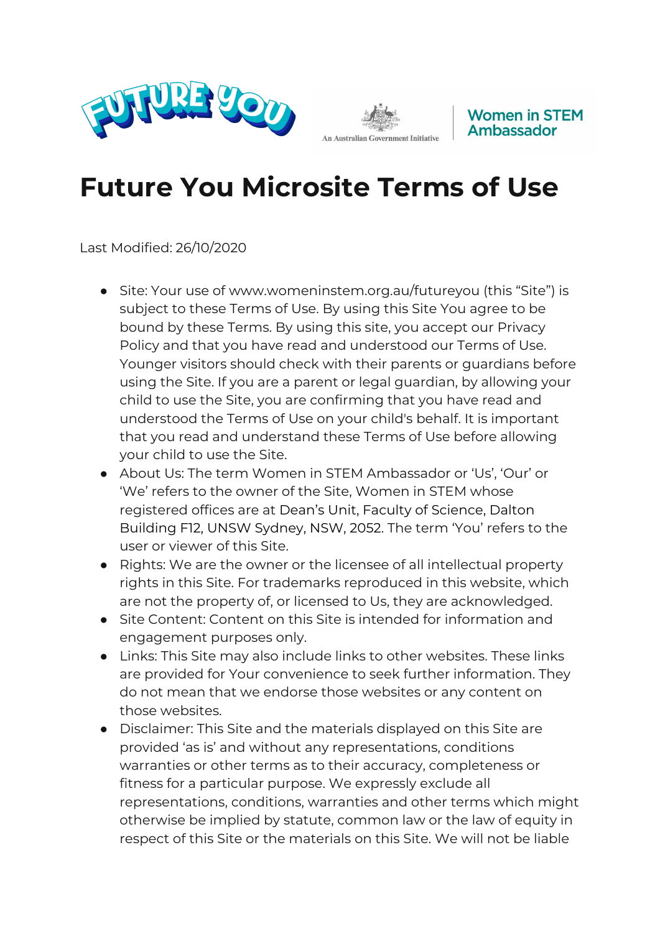





## **Future You Microsite Terms of Use**

Last Modified: 26/10/2020

- Site: Your use of www.womeninstem.org.au/futureyou (this "Site") is subject to these Terms of Use. By using this Site You agree to be bound by these Terms. By using this site, you accept our Privacy Policy and that you have read and understood our Terms of Use. Younger visitors should check with their parents or guardians before using the Site. If you are a parent or legal guardian, by allowing your child to use the Site, you are confirming that you have read and understood the Terms of Use on your child's behalf. It is important that you read and understand these Terms of Use before allowing your child to use the Site.
- About Us: The term Women in STEM Ambassador or 'Us', 'Our' or 'We' refers to the owner of the Site, Women in STEM whose registered offices are at Dean's Unit, Faculty of Science, Dalton Building F12, UNSW Sydney, NSW, 2052. The term 'You' refers to the user or viewer of this Site.
- Rights: We are the owner or the licensee of all intellectual property rights in this Site. For trademarks reproduced in this website, which are not the property of, or licensed to Us, they are acknowledged.
- Site Content: Content on this Site is intended for information and engagement purposes only.
- Links: This Site may also include links to other websites. These links are provided for Your convenience to seek further information. They do not mean that we endorse those websites or any content on those websites.
- Disclaimer: This Site and the materials displayed on this Site are provided 'as is' and without any representations, conditions warranties or other terms as to their accuracy, completeness or fitness for a particular purpose. We expressly exclude all representations, conditions, warranties and other terms which might otherwise be implied by statute, common law or the law of equity in respect of this Site or the materials on this Site. We will not be liable